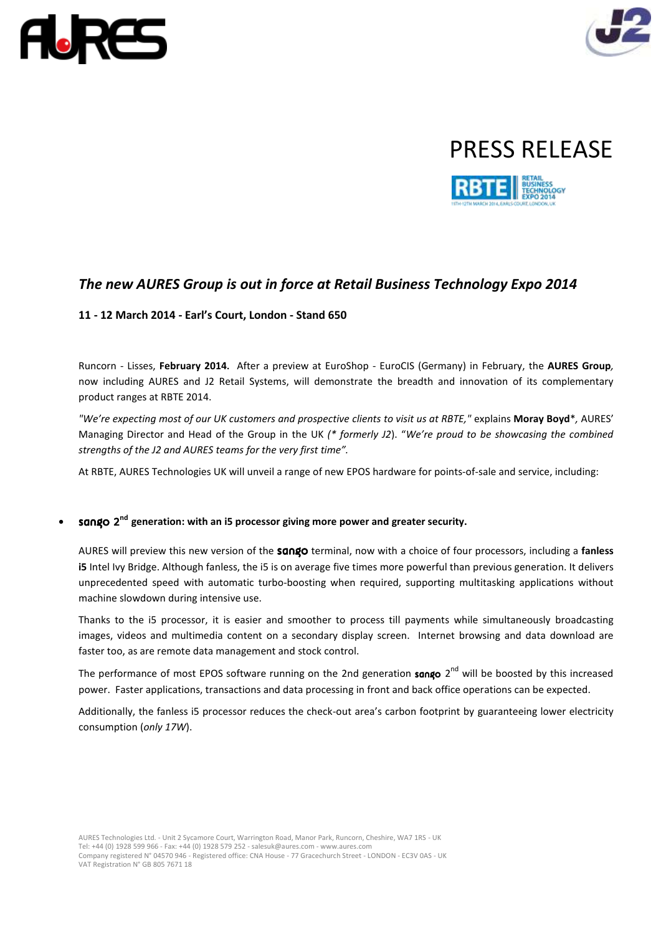







# *The new AURES Group is out in force at Retail Business Technology Expo 2014*

## **11 - 12 March 2014 - Earl's Court, London - Stand 650**

Runcorn - Lisses, **February 2014.** After a preview at EuroShop - EuroCIS (Germany) in February, the **AURES Group***,* now including AURES and J2 Retail Systems, will demonstrate the breadth and innovation of its complementary product ranges at RBTE 2014.

*"We're expecting most of our UK customers and prospective clients to visit us at RBTE,"* explains **Moray Boyd**\**,* AURES' Managing Director and Head of the Group in the UK *(\* formerly J2*). "*We're proud to be showcasing the combined strengths of the J2 and AURES teams for the very first time".*

At RBTE, AURES Technologies UK will unveil a range of new EPOS hardware for points-of-sale and service, including:

## **• sango**  $2^{nd}$  generation: with an i5 processor giving more power and greater security.

AURES will preview this new version of the sango terminal, now with a choice of four processors, including a **fanless i5** Intel Ivy Bridge. Although fanless, the i5 is on average five times more powerful than previous generation. It delivers unprecedented speed with automatic turbo-boosting when required, supporting multitasking applications without machine slowdown during intensive use.

Thanks to the i5 processor, it is easier and smoother to process till payments while simultaneously broadcasting images, videos and multimedia content on a secondary display screen. Internet browsing and data download are faster too, as are remote data management and stock control.

The performance of most EPOS software running on the 2nd generation sango 2<sup>nd</sup> will be boosted by this increased power. Faster applications, transactions and data processing in front and back office operations can be expected.

Additionally, the fanless i5 processor reduces the check-out area's carbon footprint by guaranteeing lower electricity consumption (*only 17W*).

AURES Technologies Ltd. - Unit 2 Sycamore Court, Warrington Road, Manor Park, Runcorn, Cheshire, WA7 1RS - UK Tel: +44 (0) 1928 599 966 - Fax: +44 (0) 1928 579 252 - salesuk@aures.com - www.aures.com Company registered N° 04570 946 - Registered office: CNA House - 77 Gracechurch Street - LONDON - EC3V 0AS - UK VAT Registration N° GB 805 7671 18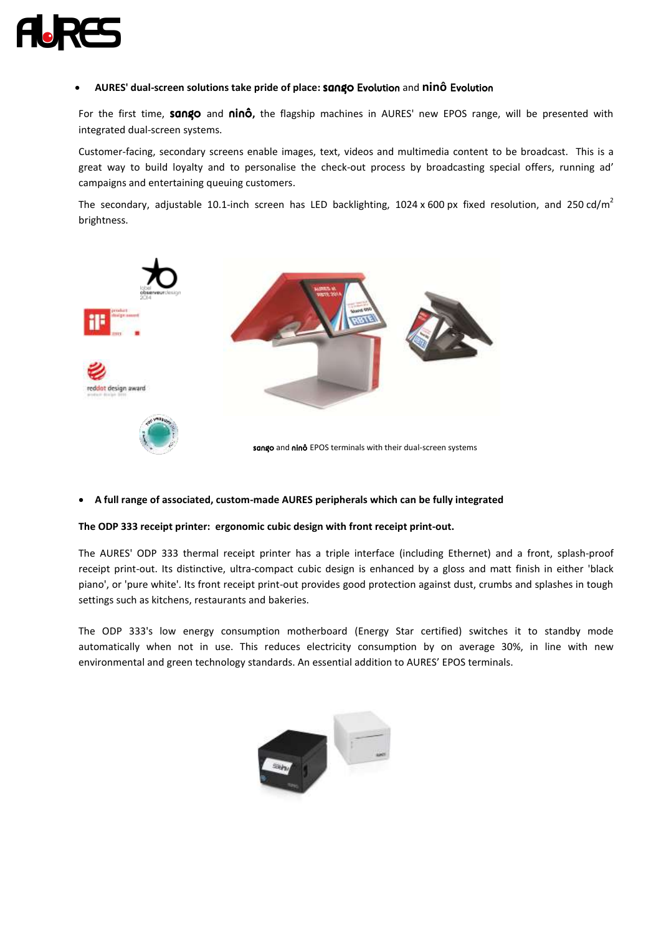

### **AURES' dual-screen solutions take pride of place:** sango Evolution and **ninô** Evolution

For the first time, sango and ninô**,** the flagship machines in AURES' new EPOS range, will be presented with integrated dual-screen systems.

Customer-facing, secondary screens enable images, text, videos and multimedia content to be broadcast. This is a great way to build loyalty and to personalise the check-out process by broadcasting special offers, running ad' campaigns and entertaining queuing customers.

The secondary, adjustable 10.1-inch screen has LED backlighting, 1024 x 600 px fixed resolution, and 250 cd/m<sup>2</sup> brightness.



#### **A full range of associated, custom-made AURES peripherals which can be fully integrated**

#### **The ODP 333 receipt printer: ergonomic cubic design with front receipt print-out.**

The AURES' ODP 333 thermal receipt printer has a triple interface (including Ethernet) and a front, splash-proof receipt print-out. Its distinctive, ultra-compact cubic design is enhanced by a gloss and matt finish in either 'black piano', or 'pure white'. Its front receipt print-out provides good protection against dust, crumbs and splashes in tough settings such as kitchens, restaurants and bakeries.

The ODP 333's low energy consumption motherboard (Energy Star certified) switches it to standby mode automatically when not in use. This reduces electricity consumption by on average 30%, in line with new environmental and green technology standards. An essential addition to AURES' EPOS terminals.

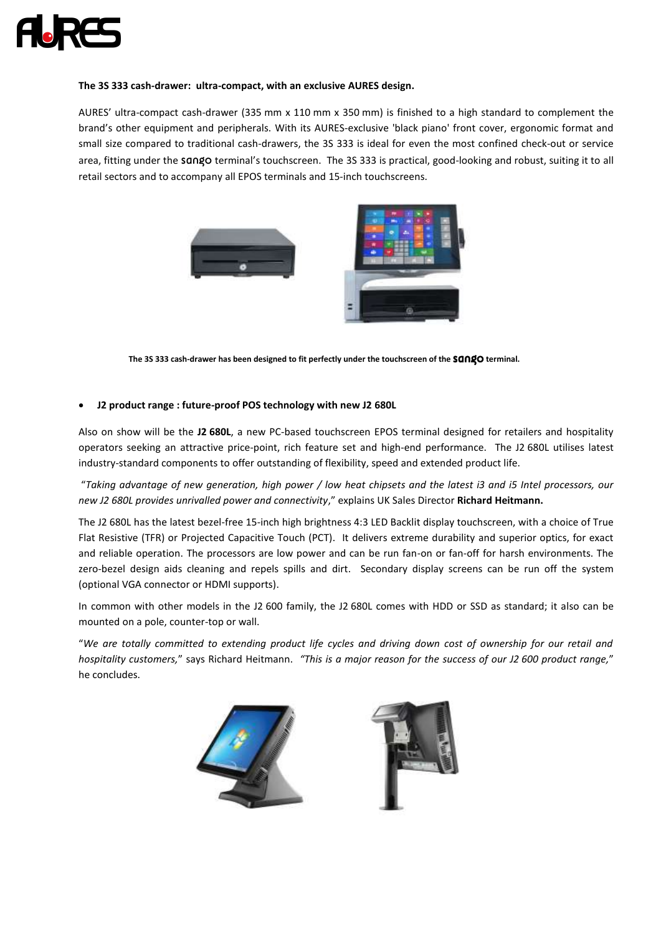

#### **The 3S 333 cash-drawer: ultra-compact, with an exclusive AURES design.**

AURES' ultra-compact cash-drawer (335 mm x 110 mm x 350 mm) is finished to a high standard to complement the brand's other equipment and peripherals. With its AURES-exclusive 'black piano' front cover, ergonomic format and small size compared to traditional cash-drawers, the 3S 333 is ideal for even the most confined check-out or service area, fitting under the sango terminal's touchscreen. The 3S 333 is practical, good-looking and robust, suiting it to all retail sectors and to accompany all EPOS terminals and 15-inch touchscreens.



The 3S 333 cash-drawer has been designed to fit perfectly under the touchscreen of the **SONgO** terminal.

## **J2 product range : future-proof POS technology with new J2 680L**

Also on show will be the **J2 680L**, a new PC-based touchscreen EPOS terminal designed for retailers and hospitality operators seeking an attractive price-point, rich feature set and high-end performance. The J2 680L utilises latest industry-standard components to offer outstanding of flexibility, speed and extended product life.

"*Taking advantage of new generation, high power / low heat chipsets and the latest i3 and i5 Intel processors, our new J2 680L provides unrivalled power and connectivity*," explains UK Sales Director **Richard Heitmann.**

The J2 680L has the latest bezel-free 15-inch high brightness 4:3 LED Backlit display touchscreen, with a choice of True Flat Resistive (TFR) or Projected Capacitive Touch (PCT). It delivers extreme durability and superior optics, for exact and reliable operation. The processors are low power and can be run fan-on or fan-off for harsh environments. The zero-bezel design aids cleaning and repels spills and dirt. Secondary display screens can be run off the system (optional VGA connector or HDMI supports).

In common with other models in the J2 600 family, the J2 680L comes with HDD or SSD as standard; it also can be mounted on a pole, counter-top or wall.

"*We are totally committed to extending product life cycles and driving down cost of ownership for our retail and hospitality customers,*" says Richard Heitmann. *"This is a major reason for the success of our J2 600 product range,*" he concludes.